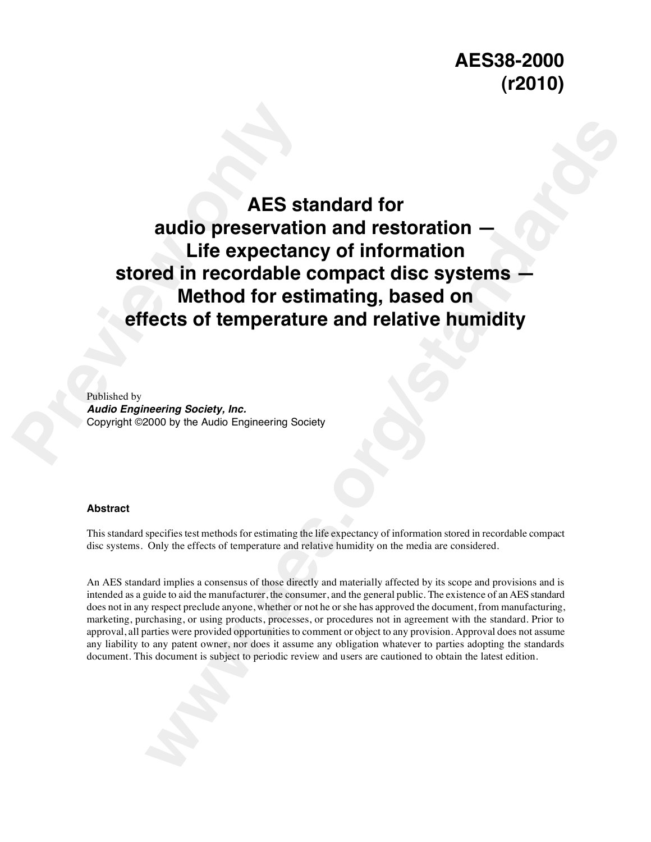AES st<br>
audio preservatively<br>
Life expectar<br>
stored in recordable<br>
Method for es<br>
effects of temperaturely<br>
Published by<br>
Audio Engineering Society, Inc.<br>
Copyright ©2000 by the Audio Engineering Society. **MES standard for<br>
audio preservation and restoration —<br>
Life expectancy of information<br>
red in recordable compact disc systems —<br>
Method for estimating, based on<br>
rects of temperature and relative humidity<br>
meeting societ AES standard for audio preservation and restoration — Life expectancy of information stored in recordable compact disc systems — Method for estimating, based on effects of temperature and relative humidity**

Published by *Audio Engineering Society, Inc.* Copyright ©2000 by the Audio Engineering Society

# **Abstract**

This standard specifies test methods for estimating the life expectancy of information stored in recordable compact disc systems. Only the effects of temperature and relative humidity on the media are considered.

An AES standard implies a consensus of those directly and materially affected by its scope and provisions and is intended as a guide to aid the manufacturer, the consumer, and the general public. The existence of an AES standard does not in any respect preclude anyone, whether or not he or she has approved the document, from manufacturing, marketing, purchasing, or using products, processes, or procedures not in agreement with the standard. Prior to approval, all parties were provided opportunities to comment or object to any provision. Approval does not assume any liability to any patent owner, nor does it assume any obligation whatever to parties adopting the standards document. This document is subject to periodic review and users are cautioned to obtain the latest edition.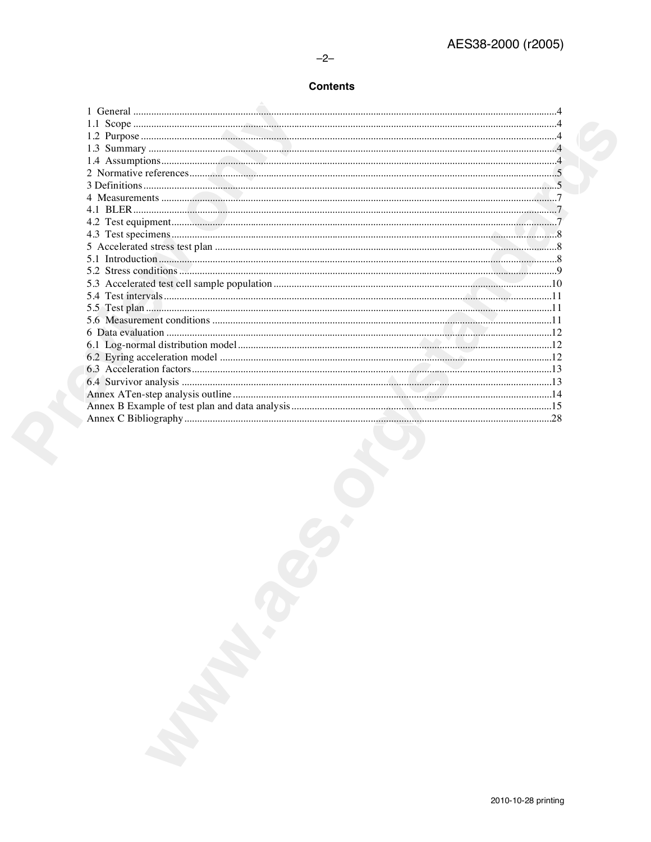$-2-$ 

# **Contents**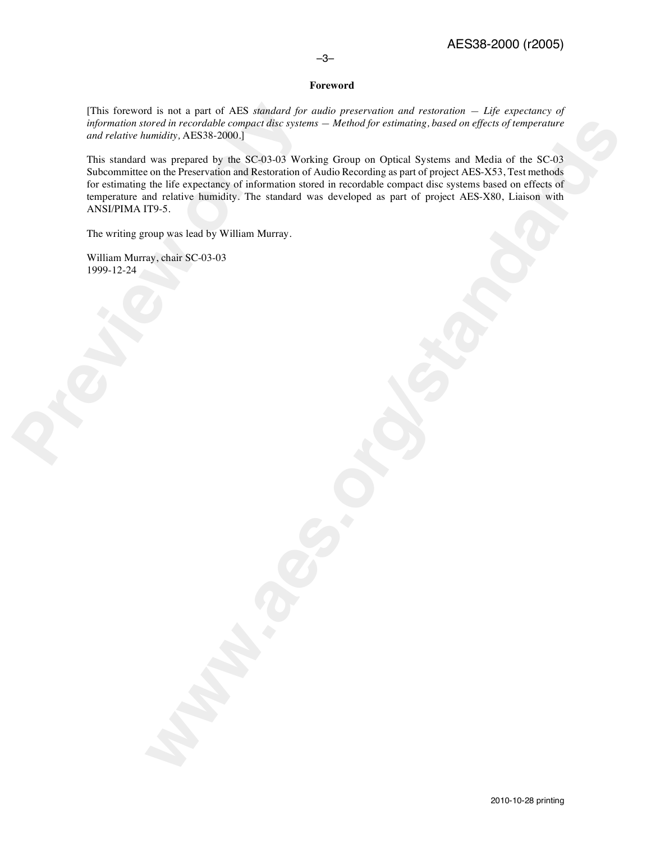# –3–

# **Foreword**

[This foreword is not a part of AES *standard for audio preservation and restoration — Life expectancy of information stored in recordable compact disc systems — Method for estimating, based on effects of temperature and relative humidity,* AES38-2000.]

[This foreword is not a part of AES *standard folinformation stored in recordable compact disc syste and relative humidity, AES38-2000.]<br>This standard was prepared by the SC-03-03 Wc Subcommittee on the Preservation and Re* word in reviewable compact dist systems — alreaded for exhuating, baned on official of inproperties<br>wands) . AESS 2000.]<br>was negative to the SCO 40 Working Group on Optical Systems and Media of the SCO and a standard by th This standard was prepared by the SC-03-03 Working Group on Optical Systems and Media of the SC-03 Subcommittee on the Preservation and Restoration of Audio Recording as part of project AES-X53, Test methods for estimating the life expectancy of information stored in recordable compact disc systems based on effects of temperature and relative humidity. The standard was developed as part of project AES-X80, Liaison with ANSI/PIMA IT9-5.

The writing group was lead by William Murray.

William Murray, chair SC-03-03 1999-12-24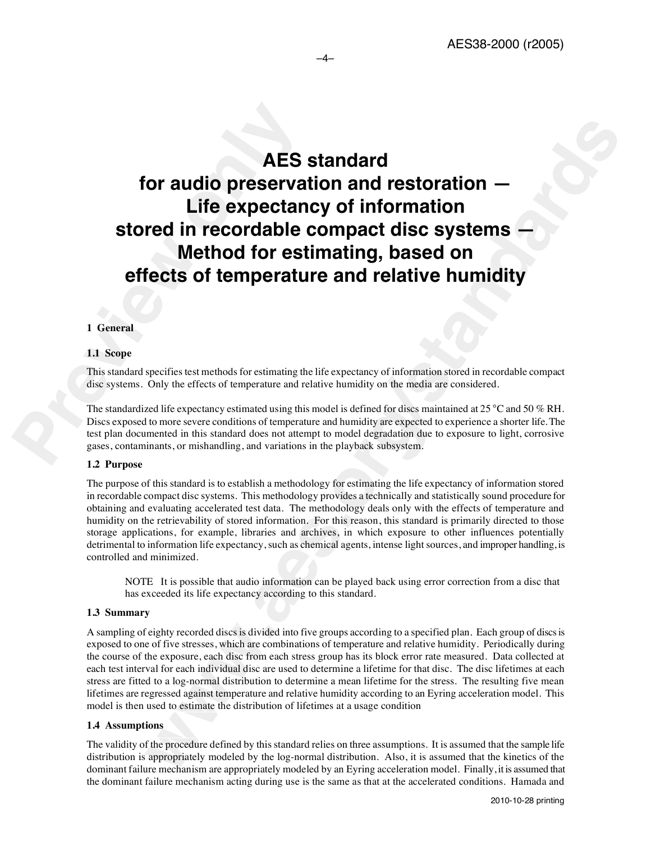# **AES**<br>
for audio preserva<br>
Life expectar<br>
stored in recordable<br>
Method for es<br>
effects of temperature<br>
1 General<br>
11 Scope<br>
This standard specifies test methods for estimating the<br>
disc systems. Only the effects of tempera **Example 18 and 18 and 18 and 18 and 18 and 18 and 18 and 18 and 18 and 18 and 18 and 18 and 18 and 18 and 18 and 18 and 18 and 18 and 18 and 18 and 18 and 18 and 18 and 18 and 18 and 18 and 18 and 18 and 18 and 18 and 18 AES standard for audio preservation and restoration — Life expectancy of information stored in recordable compact disc systems — Method for estimating, based on effects of temperature and relative humidity**

–4–

# **1 General**

#### **1.1 Scope**

This standard specifies test methods for estimating the life expectancy of information stored in recordable compact disc systems. Only the effects of temperature and relative humidity on the media are considered.

The standardized life expectancy estimated using this model is defined for discs maintained at 25  $^{\circ}$ C and 50 % RH. Discs exposed to more severe conditions of temperature and humidity are expected to experience a shorter life. The test plan documented in this standard does not attempt to model degradation due to exposure to light, corrosive gases, contaminants, or mishandling, and variations in the playback subsystem.

#### **1.2 Purpose**

The purpose of this standard is to establish a methodology for estimating the life expectancy of information stored in recordable compact disc systems. This methodology provides a technically and statistically sound procedure for obtaining and evaluating accelerated test data. The methodology deals only with the effects of temperature and humidity on the retrievability of stored information. For this reason, this standard is primarily directed to those storage applications, for example, libraries and archives, in which exposure to other influences potentially detrimental to information life expectancy, such as chemical agents, intense light sources, and improper handling, is controlled and minimized.

NOTE It is possible that audio information can be played back using error correction from a disc that has exceeded its life expectancy according to this standard.

#### **1.3 Summary**

A sampling of eighty recorded discs is divided into five groups according to a specified plan. Each group of discs is exposed to one of five stresses, which are combinations of temperature and relative humidity. Periodically during the course of the exposure, each disc from each stress group has its block error rate measured. Data collected at each test interval for each individual disc are used to determine a lifetime for that disc. The disc lifetimes at each stress are fitted to a log-normal distribution to determine a mean lifetime for the stress. The resulting five mean lifetimes are regressed against temperature and relative humidity according to an Eyring acceleration model. This model is then used to estimate the distribution of lifetimes at a usage condition

#### **1.4 Assumptions**

The validity of the procedure defined by this standard relies on three assumptions. It is assumed that the sample life distribution is appropriately modeled by the log-normal distribution. Also, it is assumed that the kinetics of the dominant failure mechanism are appropriately modeled by an Eyring acceleration model. Finally, it is assumed that the dominant failure mechanism acting during use is the same as that at the accelerated conditions. Hamada and